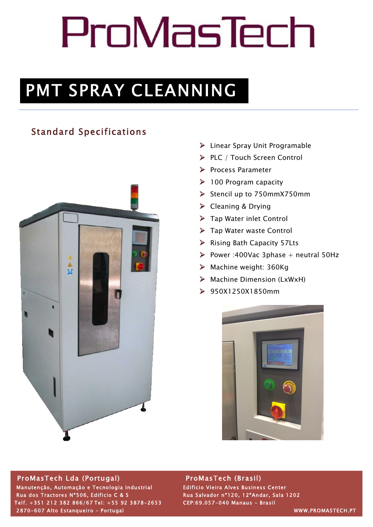# ProMasTech

# PMT SPRAY CLEANNING

# Standard Specifications



- $\triangleright$  Linear Spray Unit Programable
- Ø PLC / Touch Screen Control
- Ø Process Parameter
- $\geq 100$  Program capacity
- Ø Stencil up to 750mmX750mm
- Ø Cleaning & Drying
- $\triangleright$  Tap Water inlet Control
- $\triangleright$  Tap Water waste Control
- Ø Rising Bath Capacity 57Lts
- $\triangleright$  Power :400Vac 3phase + neutral 50Hz
- $\triangleright$  Machine weight: 360Kg
- $\triangleright$  Machine Dimension (LxWxH)
- Ø 950X1250X1850mm



# ProMasTech Lda (Portugal) ProMasTech (Brasil)

 Manutenção, Automação e Tecnologia Industrial Edificio Vieira Alves Business Center Rua dos Tractores N°506, Edificio C & S<br>Rua Salvador nº120, 12ºAndar, Sala 1202 Telf. +351 212 382 866/67 Tel: +55 92 3878-2653 CEP:69.057-040 Manaus - Brasil 2870-607 Alto Estanqueiro – Portugal WWW.PROMASTECH.PT